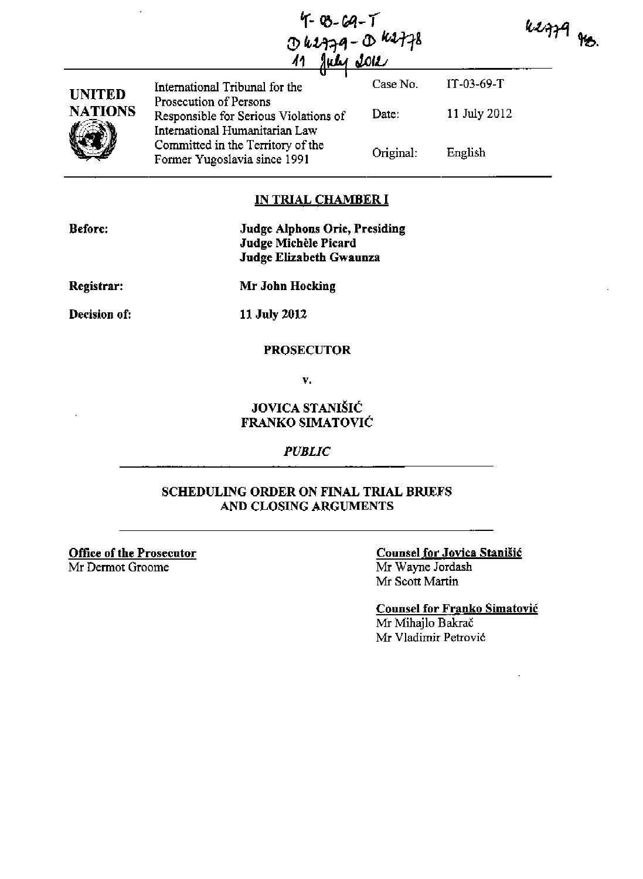|              | 7-03-69-T |                   |
|--------------|-----------|-------------------|
|              |           | $0$ 62779-0 62778 |
| 11 July 2012 |           |                   |

 $k$ 2779 ro.

|                                 | ╨                                                                                                   |           |              |  |
|---------------------------------|-----------------------------------------------------------------------------------------------------|-----------|--------------|--|
| <b>UNITED</b><br><b>NATIONS</b> | International Tribunal for the                                                                      | Case No.  | $IT-03-69-T$ |  |
|                                 | Prosecution of Persons<br>Responsible for Serious Violations of                                     | Date:     | 11 July 2012 |  |
|                                 | International Humanitarian Law<br>Committed in the Territory of the<br>Former Yugoslavia since 1991 | Original: | English      |  |

### **IN TRIAL CHAMBER I**

| Before:    | <b>Judge Alphons Orie, Presiding</b> |
|------------|--------------------------------------|
|            | Judge Michèle Picard                 |
|            | Judge Elizabeth Gwaunza              |
| Registrar: | Mr John Hocking                      |

**Decision of:** 

**11 July 2012** 

#### **PROSECUTOR**

v.

# **JOVICA STANIŠIĆ FRANKO SIMATOVIC**

#### *PUBLIC*

## **SCHEDULING ORDER ON FINAL TRIAL BRIEFS AND CLOSING ARGUMENTS**

**Office of the Prosecutor**  Mr Dermot Groome

#### **Counsel for Jovica Stanisic**

Mr Wayne Jordash Mr Scott Martin

**Counsel for Franko Simatovic** 

Mr Mihajlo Bakrač Mr Vladimir Petrovic